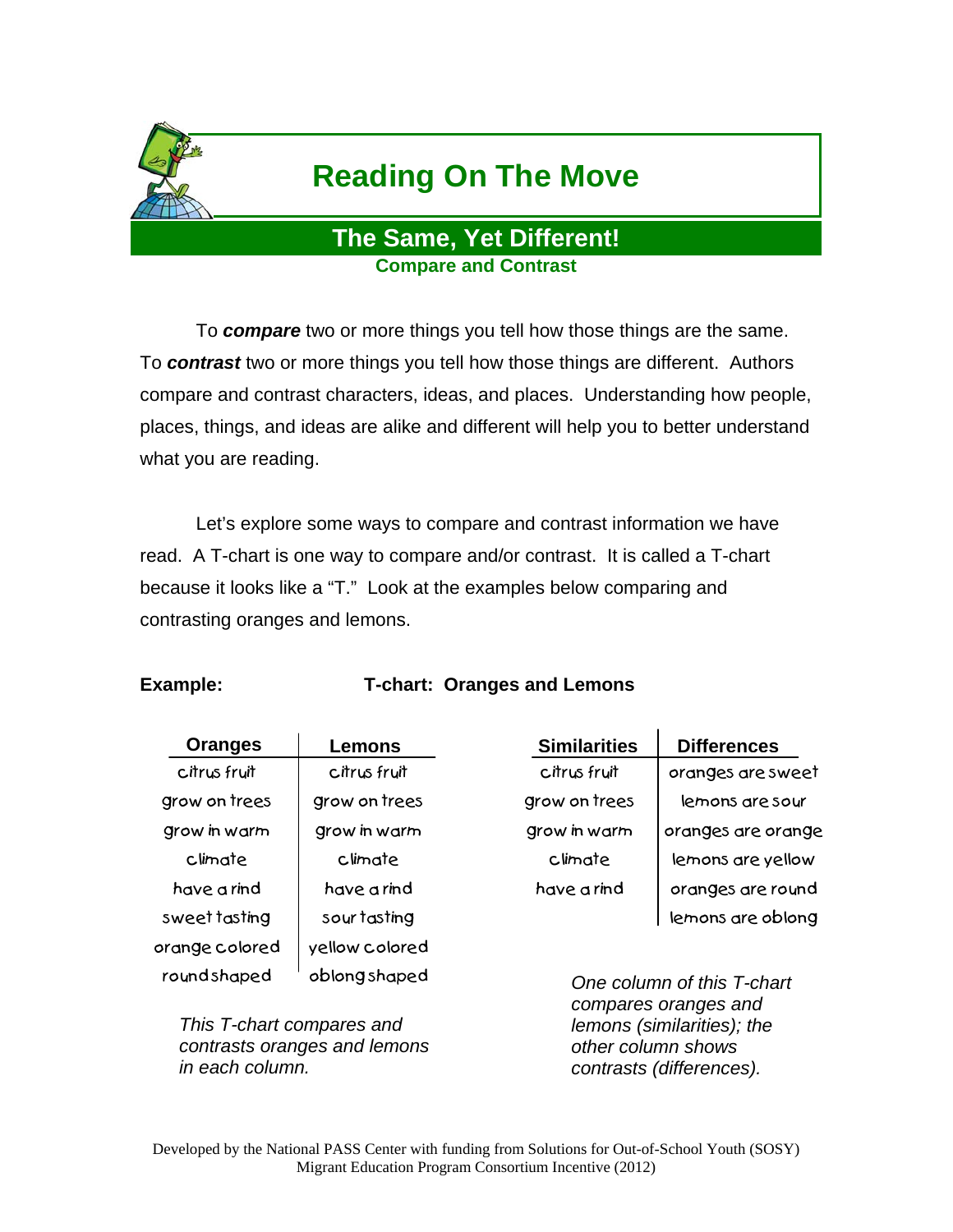

# **Reading On The Move**

### **The Same, Yet Different! Compare and Contrast**

 To *compare* two or more things you tell how those things are the same. To *contrast* two or more things you tell how those things are different. Authors compare and contrast characters, ideas, and places. Understanding how people, places, things, and ideas are alike and different will help you to better understand what you are reading.

 Let's explore some ways to compare and contrast information we have read. A T-chart is one way to compare and/or contrast. It is called a T-chart because it looks like a "T." Look at the examples below comparing and contrasting oranges and lemons.

#### **Example: T-chart: Oranges and Lemons**

| <b>Oranges</b> | Lemons         | <b>Similarities</b> | <b>Differences</b>         |
|----------------|----------------|---------------------|----------------------------|
| citrus fruit   | citrus fruit   | citrus fruit        | oranges are sweet          |
| grow on trees  | grow on trees  | grow on trees       | lemons are sour            |
| grow in warm   | grow in warm   | grow in warm        | oranges are orange         |
| climate        | climate        | climate             | lemons are yellow          |
| have a rind    | have a rind    | have a rind         | oranges are round          |
| sweet tasting  | sour tasting   |                     | lemons are oblong          |
| orange colored | yellow colored |                     |                            |
| roundshaped    | oblongshaped   |                     | One column of this T-chart |

*This T-chart compares and contrasts oranges and lemons in each column.*

*One column of this T-chart compares oranges and lemons (similarities); the other column shows contrasts (differences).*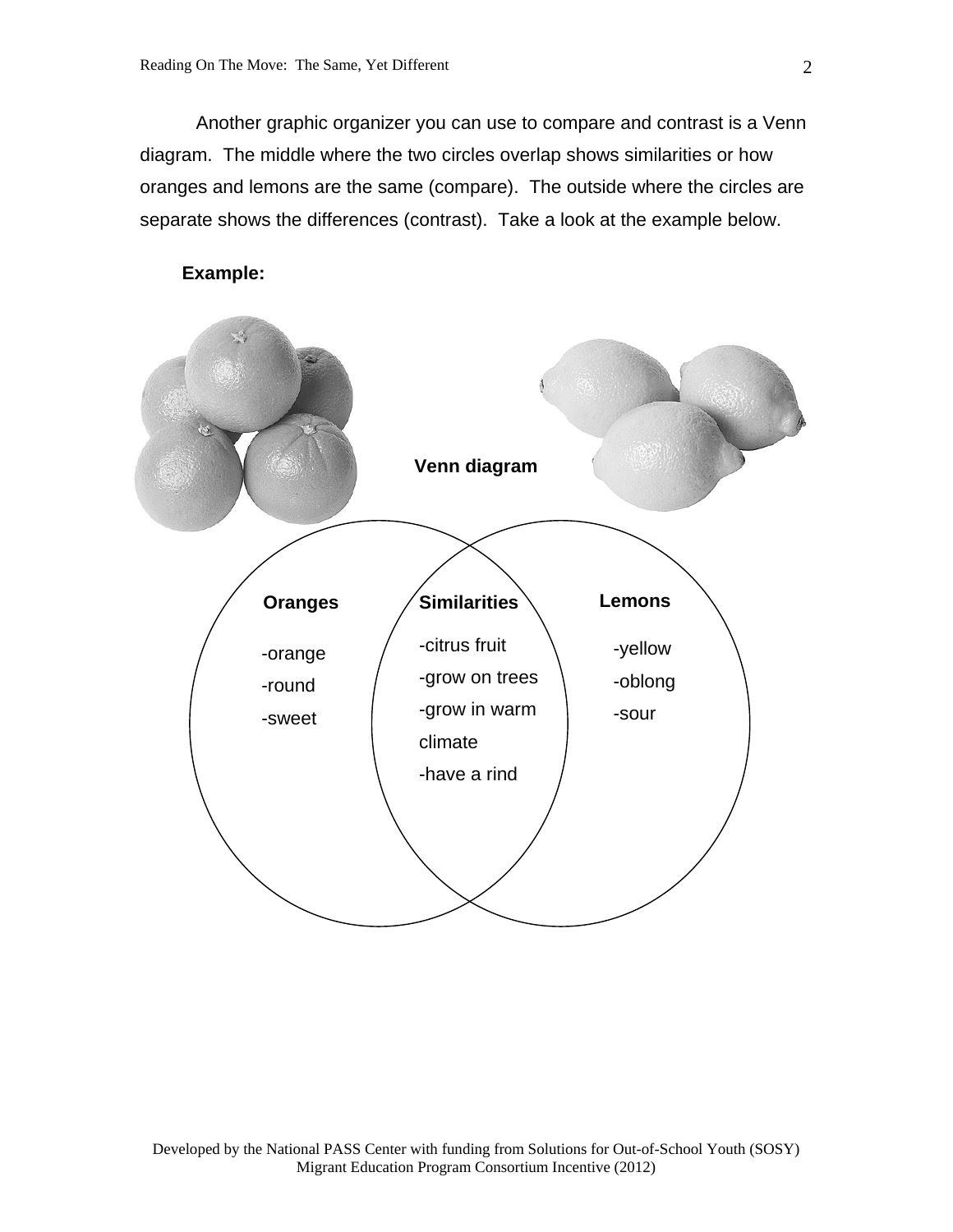Another graphic organizer you can use to compare and contrast is a Venn diagram. The middle where the two circles overlap shows similarities or how oranges and lemons are the same (compare). The outside where the circles are separate shows the differences (contrast). Take a look at the example below.



#### **Example:**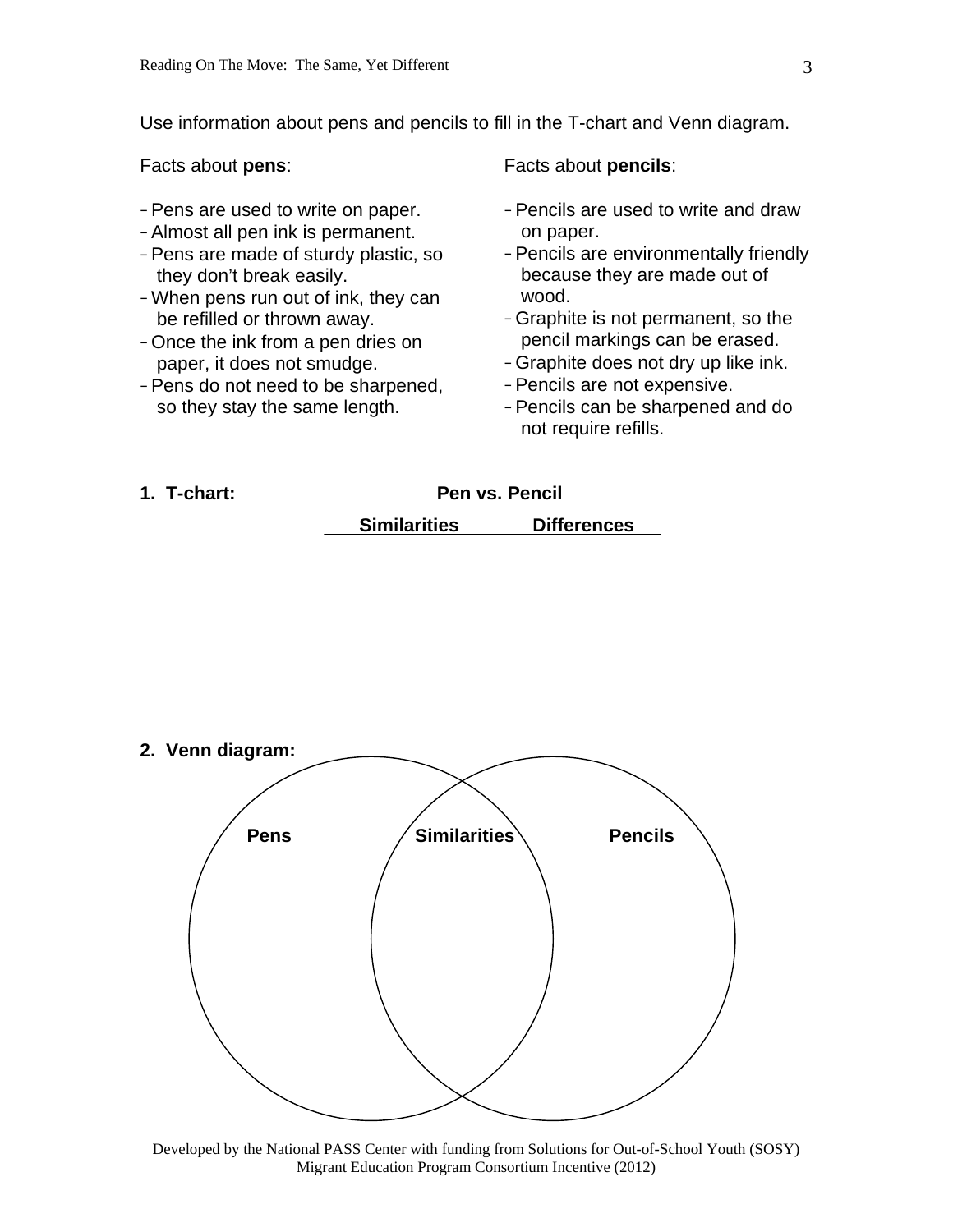Use information about pens and pencils to fill in the T-chart and Venn diagram.

Facts about **pens**:

- Pens are used to write on paper.
- Almost all pen ink is permanent.
- Pens are made of sturdy plastic, so they don't break easily.
- When pens run out of ink, they can be refilled or thrown away.
- Once the ink from a pen dries on paper, it does not smudge.
- Pens do not need to be sharpened, so they stay the same length.

Facts about **pencils**:

- Pencils are used to write and draw on paper.
- Pencils are environmentally friendly because they are made out of wood.
- Graphite is not permanent, so the pencil markings can be erased.
- Graphite does not dry up like ink.
- Pencils are not expensive.
- Pencils can be sharpened and do not require refills.



Developed by the National PASS Center with funding from Solutions for Out-of-School Youth (SOSY) Migrant Education Program Consortium Incentive (2012)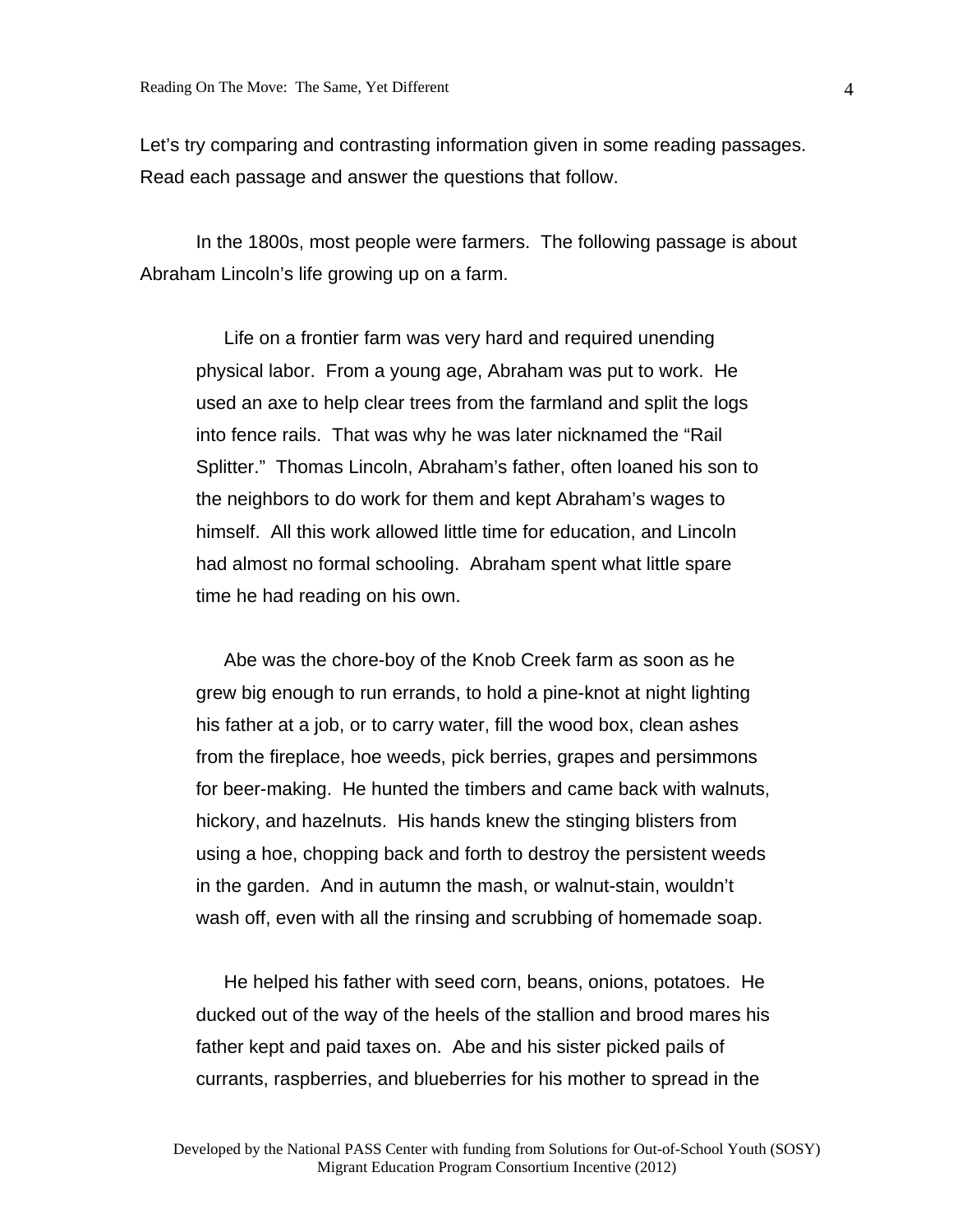Let's try comparing and contrasting information given in some reading passages. Read each passage and answer the questions that follow.

In the 1800s, most people were farmers. The following passage is about Abraham Lincoln's life growing up on a farm.

Life on a frontier farm was very hard and required unending physical labor. From a young age, Abraham was put to work. He used an axe to help clear trees from the farmland and split the logs into fence rails. That was why he was later nicknamed the "Rail Splitter." Thomas Lincoln, Abraham's father, often loaned his son to the neighbors to do work for them and kept Abraham's wages to himself. All this work allowed little time for education, and Lincoln had almost no formal schooling. Abraham spent what little spare time he had reading on his own.

Abe was the chore-boy of the Knob Creek farm as soon as he grew big enough to run errands, to hold a pine-knot at night lighting his father at a job, or to carry water, fill the wood box, clean ashes from the fireplace, hoe weeds, pick berries, grapes and persimmons for beer-making. He hunted the timbers and came back with walnuts, hickory, and hazelnuts. His hands knew the stinging blisters from using a hoe, chopping back and forth to destroy the persistent weeds in the garden. And in autumn the mash, or walnut-stain, wouldn't wash off, even with all the rinsing and scrubbing of homemade soap.

He helped his father with seed corn, beans, onions, potatoes. He ducked out of the way of the heels of the stallion and brood mares his father kept and paid taxes on. Abe and his sister picked pails of currants, raspberries, and blueberries for his mother to spread in the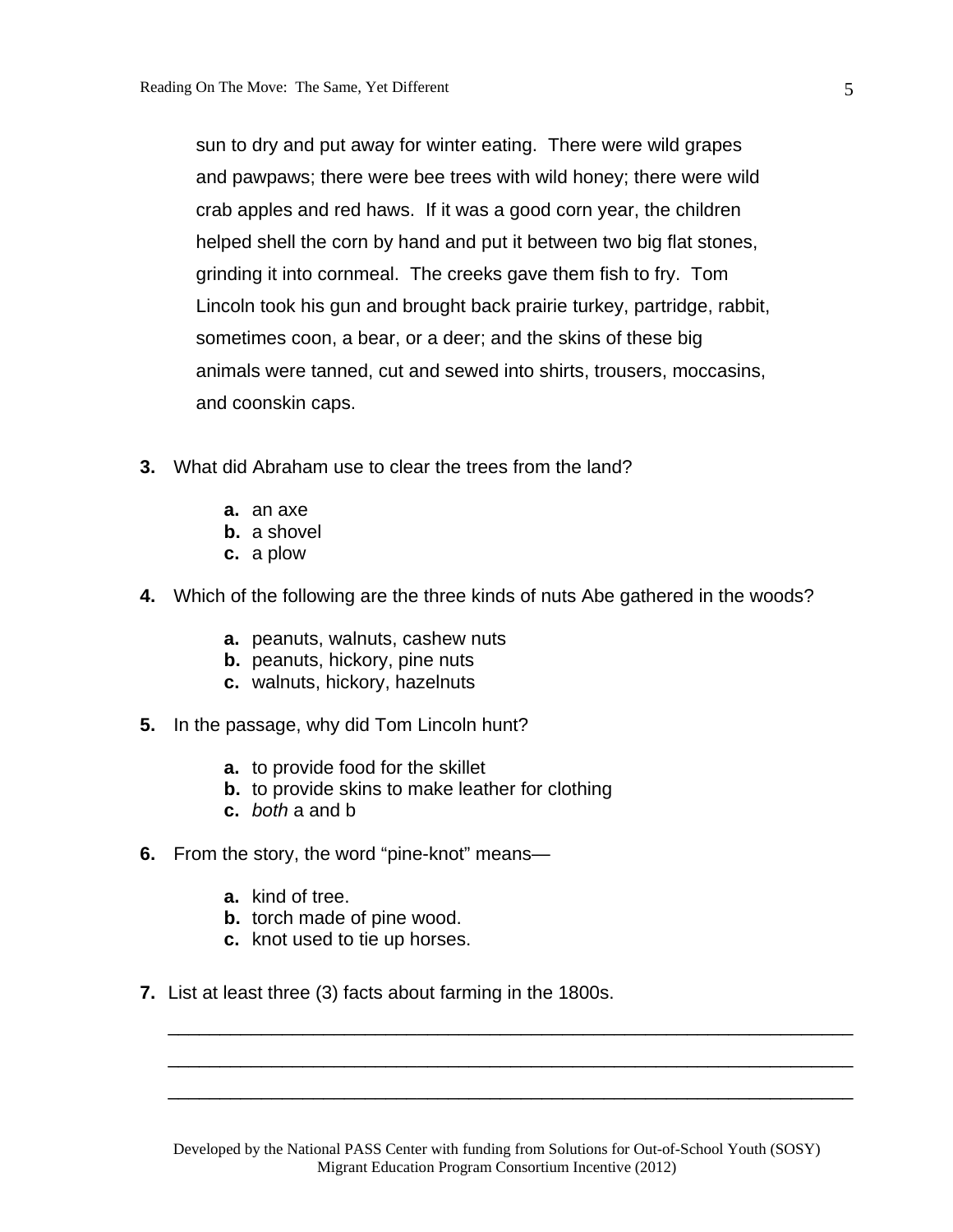sun to dry and put away for winter eating. There were wild grapes and pawpaws; there were bee trees with wild honey; there were wild crab apples and red haws. If it was a good corn year, the children helped shell the corn by hand and put it between two big flat stones, grinding it into cornmeal. The creeks gave them fish to fry. Tom Lincoln took his gun and brought back prairie turkey, partridge, rabbit, sometimes coon, a bear, or a deer; and the skins of these big animals were tanned, cut and sewed into shirts, trousers, moccasins, and coonskin caps.

- **3.** What did Abraham use to clear the trees from the land?
	- **a.** an axe
	- **b.** a shovel
	- **c.** a plow
- **4.** Which of the following are the three kinds of nuts Abe gathered in the woods?
	- **a.** peanuts, walnuts, cashew nuts
	- **b.** peanuts, hickory, pine nuts
	- **c.** walnuts, hickory, hazelnuts
- **5.** In the passage, why did Tom Lincoln hunt?
	- **a.** to provide food for the skillet
	- **b.** to provide skins to make leather for clothing
	- **c.** *both* a and b
- **6.** From the story, the word "pine-knot" means
	- **a.** kind of tree.
	- **b.** torch made of pine wood.
	- **c.** knot used to tie up horses.
- **7.** List at least three (3) facts about farming in the 1800s.

\_\_\_\_\_\_\_\_\_\_\_\_\_\_\_\_\_\_\_\_\_\_\_\_\_\_\_\_\_\_\_\_\_\_\_\_\_\_\_\_\_\_\_\_\_\_\_\_\_\_\_\_\_\_\_\_\_\_\_\_\_\_\_\_\_\_

\_\_\_\_\_\_\_\_\_\_\_\_\_\_\_\_\_\_\_\_\_\_\_\_\_\_\_\_\_\_\_\_\_\_\_\_\_\_\_\_\_\_\_\_\_\_\_\_\_\_\_\_\_\_\_\_\_\_\_\_\_\_\_\_\_\_

\_\_\_\_\_\_\_\_\_\_\_\_\_\_\_\_\_\_\_\_\_\_\_\_\_\_\_\_\_\_\_\_\_\_\_\_\_\_\_\_\_\_\_\_\_\_\_\_\_\_\_\_\_\_\_\_\_\_\_\_\_\_\_\_\_\_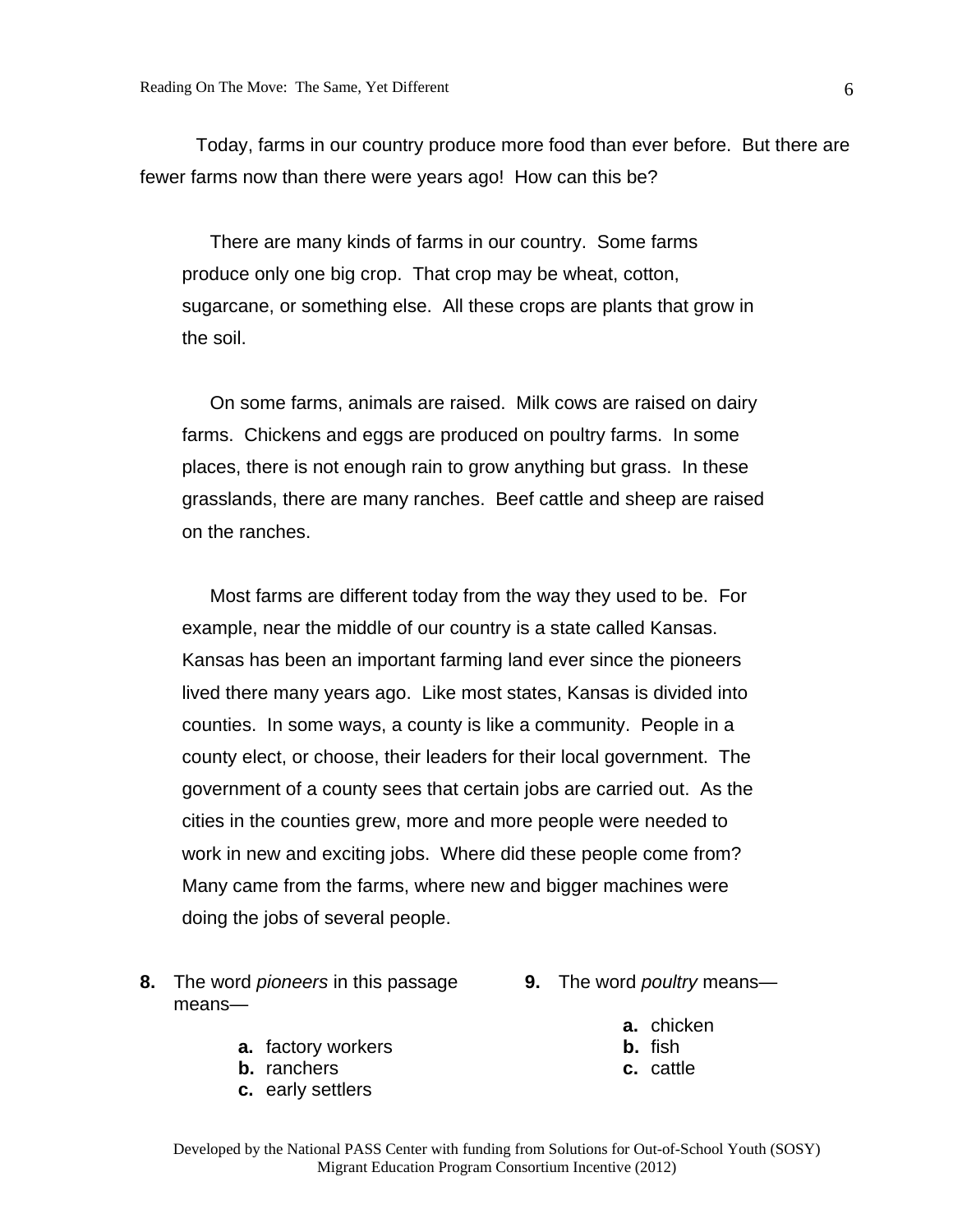Today, farms in our country produce more food than ever before. But there are fewer farms now than there were years ago! How can this be?

There are many kinds of farms in our country. Some farms produce only one big crop. That crop may be wheat, cotton, sugarcane, or something else. All these crops are plants that grow in the soil.

On some farms, animals are raised. Milk cows are raised on dairy farms. Chickens and eggs are produced on poultry farms. In some places, there is not enough rain to grow anything but grass. In these grasslands, there are many ranches. Beef cattle and sheep are raised on the ranches.

Most farms are different today from the way they used to be. For example, near the middle of our country is a state called Kansas. Kansas has been an important farming land ever since the pioneers lived there many years ago. Like most states, Kansas is divided into counties. In some ways, a county is like a community. People in a county elect, or choose, their leaders for their local government. The government of a county sees that certain jobs are carried out. As the cities in the counties grew, more and more people were needed to work in new and exciting jobs. Where did these people come from? Many came from the farms, where new and bigger machines were doing the jobs of several people.

- **8.** The word *pioneers* in this passage **9.** The word *poultry* means means
	- **a.** factory workers
	- **b.** ranchers
	- **c.** early settlers
- - **a.** chicken
	- **b.** fish
	- **c.** cattle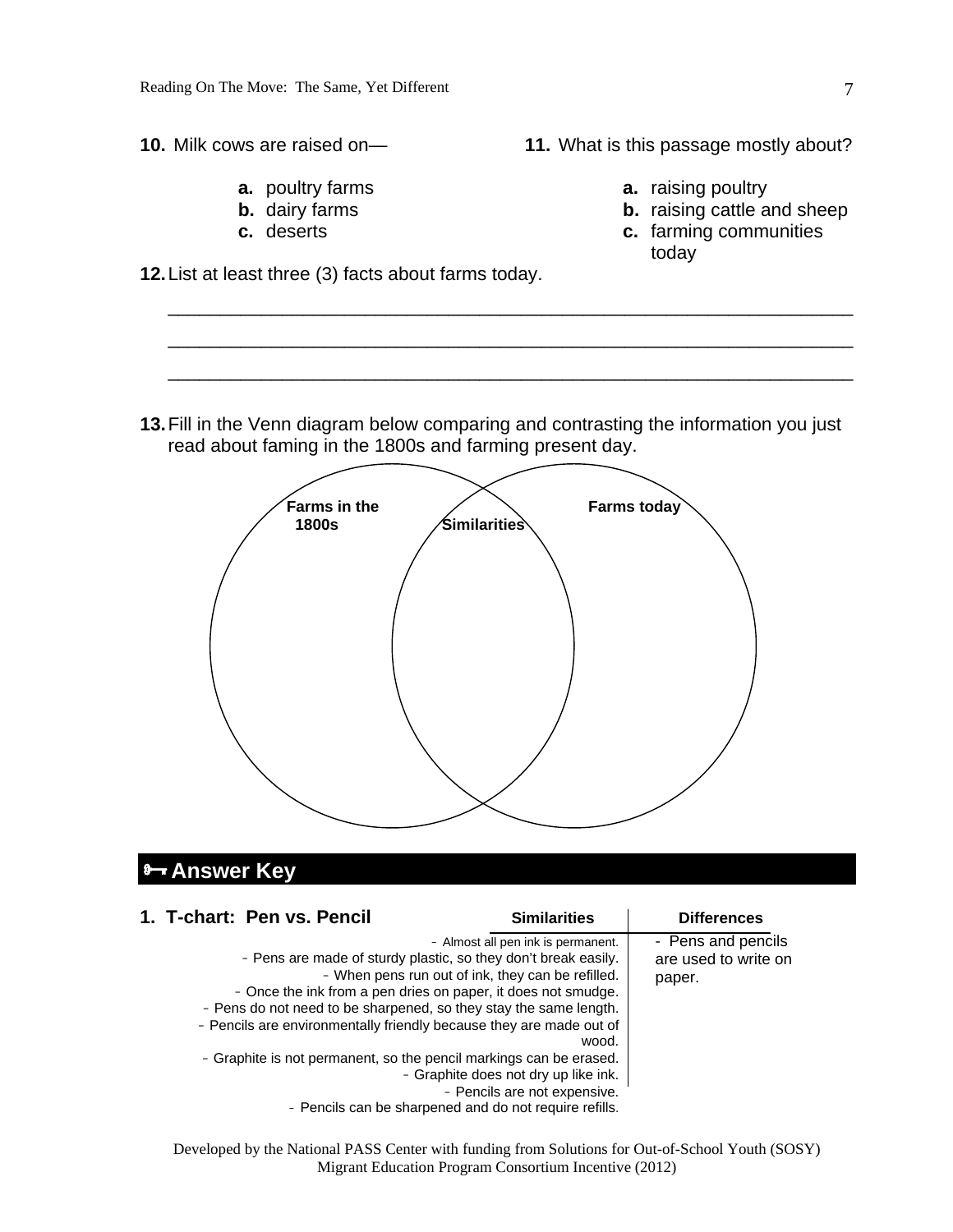**10.** Milk cows are raised on—

- **a.** poultry farms
- **b.** dairy farms
- **c.** deserts

**12.** List at least three (3) facts about farms today.

**11.** What is this passage mostly about?

- **a.** raising poultry
- **b.** raising cattle and sheep
- **c.** farming communities today

**13.** Fill in the Venn diagram below comparing and contrasting the information you just read about faming in the 1800s and farming present day.

\_\_\_\_\_\_\_\_\_\_\_\_\_\_\_\_\_\_\_\_\_\_\_\_\_\_\_\_\_\_\_\_\_\_\_\_\_\_\_\_\_\_\_\_\_\_\_\_\_\_\_\_\_\_\_\_\_\_\_\_\_\_\_\_\_\_

\_\_\_\_\_\_\_\_\_\_\_\_\_\_\_\_\_\_\_\_\_\_\_\_\_\_\_\_\_\_\_\_\_\_\_\_\_\_\_\_\_\_\_\_\_\_\_\_\_\_\_\_\_\_\_\_\_\_\_\_\_\_\_\_\_\_

\_\_\_\_\_\_\_\_\_\_\_\_\_\_\_\_\_\_\_\_\_\_\_\_\_\_\_\_\_\_\_\_\_\_\_\_\_\_\_\_\_\_\_\_\_\_\_\_\_\_\_\_\_\_\_\_\_\_\_\_\_\_\_\_\_\_



## **Answer Key**

| 1. T-chart: Pen vs. Pencil                                                                                                                                                                                                                                                                                                                                                                                  | <b>Similarities</b>                                                                                                                                                      | <b>Differences</b>                                   |
|-------------------------------------------------------------------------------------------------------------------------------------------------------------------------------------------------------------------------------------------------------------------------------------------------------------------------------------------------------------------------------------------------------------|--------------------------------------------------------------------------------------------------------------------------------------------------------------------------|------------------------------------------------------|
| - Pens are made of sturdy plastic, so they don't break easily.<br>- Once the ink from a pen dries on paper, it does not smudge.<br>- Pens do not need to be sharpened, so they stay the same length.<br>- Pencils are environmentally friendly because they are made out of<br>- Graphite is not permanent, so the pencil markings can be erased.<br>- Pencils can be sharpened and do not require refills. | - Almost all pen ink is permanent.<br>- When pens run out of ink, they can be refilled.<br>wood.<br>- Graphite does not dry up like ink.<br>- Pencils are not expensive. | - Pens and pencils<br>are used to write on<br>paper. |

Developed by the National PASS Center with funding from Solutions for Out-of-School Youth (SOSY) Migrant Education Program Consortium Incentive (2012)